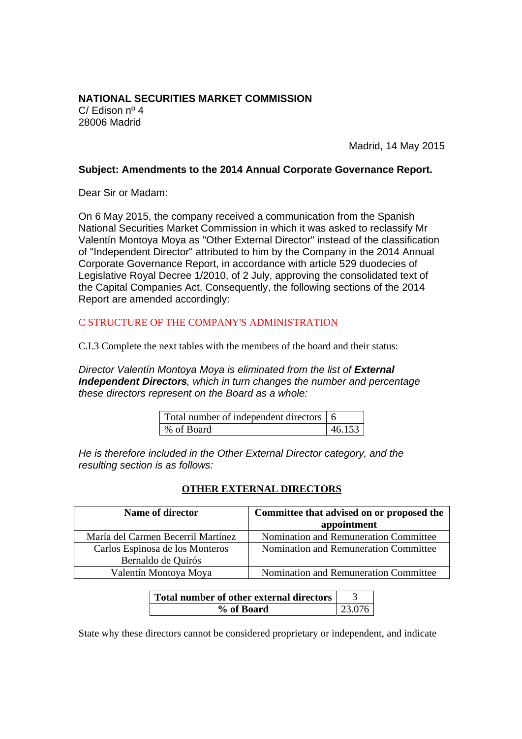**NATIONAL SECURITIES MARKET COMMISSION**  C/ Edison nº 4 28006 Madrid

Madrid, 14 May 2015

#### **Subject: Amendments to the 2014 Annual Corporate Governance Report.**

Dear Sir or Madam:

On 6 May 2015, the company received a communication from the Spanish National Securities Market Commission in which it was asked to reclassify Mr Valentín Montoya Moya as "Other External Director" instead of the classification of "Independent Director" attributed to him by the Company in the 2014 Annual Corporate Governance Report, in accordance with article 529 duodecies of Legislative Royal Decree 1/2010, of 2 July, approving the consolidated text of the Capital Companies Act. Consequently, the following sections of the 2014 Report are amended accordingly:

# C STRUCTURE OF THE COMPANY'S ADMINISTRATION

C.I.3 Complete the next tables with the members of the board and their status:

*Director Valentín Montoya Moya is eliminated from the list of External Independent Directors, which in turn changes the number and percentage these directors represent on the Board as a whole:* 

| Total number of independent directors 6 |        |
|-----------------------------------------|--------|
| ∣% of Board                             | 46.153 |

*He is therefore included in the Other External Director category, and the resulting section is as follows:* 

# **OTHER EXTERNAL DIRECTORS**

| Name of director                   | Committee that advised on or proposed the |  |
|------------------------------------|-------------------------------------------|--|
|                                    | appointment                               |  |
| María del Carmen Becerril Martínez | Nomination and Remuneration Committee     |  |
| Carlos Espinosa de los Monteros    | Nomination and Remuneration Committee     |  |
| Bernaldo de Quirós                 |                                           |  |
| Valentín Montoya Moya              | Nomination and Remuneration Committee     |  |

| Total number of other external directors |        |
|------------------------------------------|--------|
| % of Board                               | 23.076 |

State why these directors cannot be considered proprietary or independent, and indicate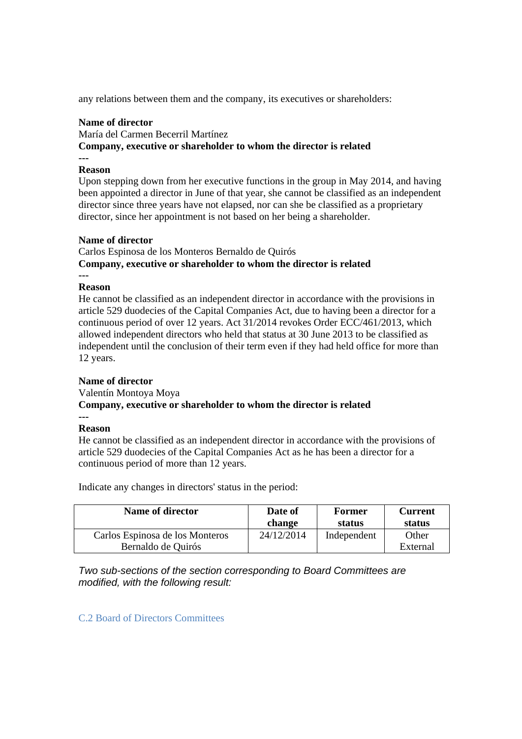any relations between them and the company, its executives or shareholders:

#### **Name of director**

María del Carmen Becerril Martínez **Company, executive or shareholder to whom the director is related ---** 

#### **Reason**

Upon stepping down from her executive functions in the group in May 2014, and having been appointed a director in June of that year, she cannot be classified as an independent director since three years have not elapsed, nor can she be classified as a proprietary director, since her appointment is not based on her being a shareholder.

#### **Name of director**

Carlos Espinosa de los Monteros Bernaldo de Quirós **Company, executive or shareholder to whom the director is related** 

#### **Reason**

**---**

He cannot be classified as an independent director in accordance with the provisions in article 529 duodecies of the Capital Companies Act, due to having been a director for a continuous period of over 12 years. Act 31/2014 revokes Order ECC/461/2013, which allowed independent directors who held that status at 30 June 2013 to be classified as independent until the conclusion of their term even if they had held office for more than 12 years.

# **Name of director**

Valentín Montoya Moya **Company, executive or shareholder to whom the director is related ---** 

# **Reason**

He cannot be classified as an independent director in accordance with the provisions of article 529 duodecies of the Capital Companies Act as he has been a director for a continuous period of more than 12 years.

Indicate any changes in directors' status in the period:

| Name of director                                      | Date of<br>change | <b>Former</b><br>status | <b>Current</b><br>status |
|-------------------------------------------------------|-------------------|-------------------------|--------------------------|
| Carlos Espinosa de los Monteros<br>Bernaldo de Quirós | 24/12/2014        | Independent             | Other<br>External        |
|                                                       |                   |                         |                          |

*Two sub-sections of the section corresponding to Board Committees are modified, with the following result:* 

C.2 Board of Directors Committees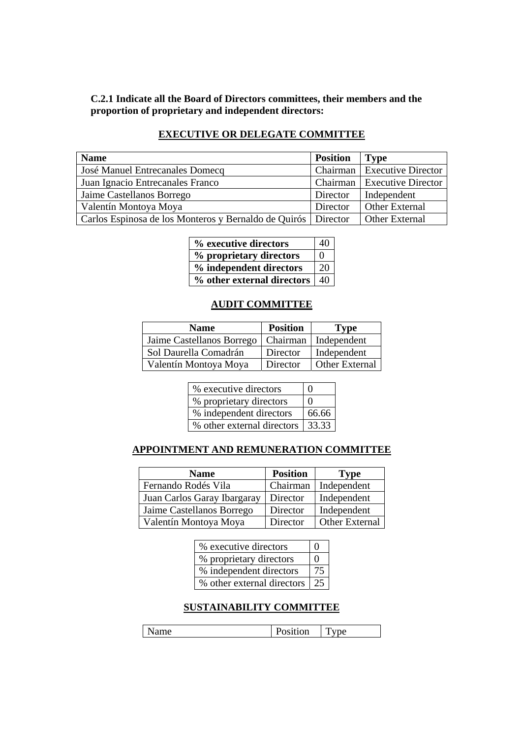# **C.2.1 Indicate all the Board of Directors committees, their members and the proportion of proprietary and independent directors:**

# **EXECUTIVE OR DELEGATE COMMITTEE**

| <b>Name</b>                                                     | <b>Position</b> | <b>Type</b>                   |
|-----------------------------------------------------------------|-----------------|-------------------------------|
| <b>José Manuel Entrecanales Domecq</b>                          |                 | Chairman   Executive Director |
| Juan Ignacio Entrecanales Franco                                |                 | Chairman   Executive Director |
| Jaime Castellanos Borrego                                       | Director        | Independent                   |
| Valentín Montoya Moya                                           | Director        | <b>Other External</b>         |
| Carlos Espinosa de los Monteros y Bernaldo de Quirós   Director |                 | <b>Other External</b>         |

| % executive directors      | 40       |
|----------------------------|----------|
| % proprietary directors    | $\Omega$ |
| % independent directors    | 20       |
| % other external directors | 40       |

# **AUDIT COMMITTEE**

| <b>Name</b>                                        | <b>Position</b> | Type                  |
|----------------------------------------------------|-----------------|-----------------------|
| Jaime Castellanos Borrego   Chairman   Independent |                 |                       |
| Sol Daurella Comadrán                              | Director        | Independent           |
| Valentín Montoya Moya                              | Director        | <b>Other External</b> |

| % executive directors              | $\mathbf{\Omega}$ |
|------------------------------------|-------------------|
| % proprietary directors            | $\mathbf{\Omega}$ |
| % independent directors            | 66.66             |
| % other external directors   33.33 |                   |

# **APPOINTMENT AND REMUNERATION COMMITTEE**

| <b>Name</b>                 | <b>Position</b> | <b>Type</b>           |
|-----------------------------|-----------------|-----------------------|
| Fernando Rodés Vila         | Chairman        | Independent           |
| Juan Carlos Garay Ibargaray | Director        | Independent           |
| Jaime Castellanos Borrego   | Director        | Independent           |
| Valentín Montoya Moya       | Director        | <b>Other External</b> |

| % executive directors      | $\mathbf{\Omega}$ |
|----------------------------|-------------------|
| % proprietary directors    | $\mathbf{\Omega}$ |
| % independent directors    |                   |
| % other external directors | -25               |

# **SUSTAINABILITY COMMITTEE**

| $-$<br>$  -$<br>--<br>. .<br>-<br>-<br>$ -$ |
|---------------------------------------------|
|---------------------------------------------|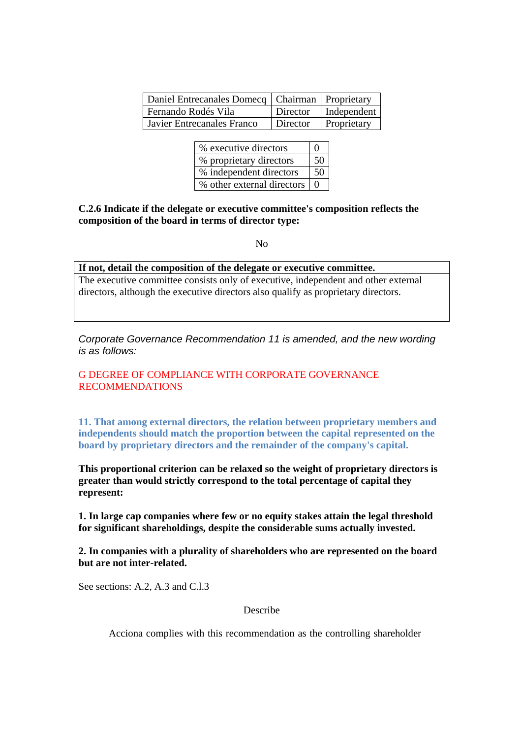| Daniel Entrecanales Domecq   Chairman   Proprietary |                        |
|-----------------------------------------------------|------------------------|
| Fernando Rodés Vila                                 | Director   Independent |
| <b>Javier Entrecanales Franco</b>                   | Director   Proprietary |

| % executive directors          | $\Omega$ |
|--------------------------------|----------|
| % proprietary directors        | 50       |
| % independent directors        | 50       |
| % other external directors   0 |          |

**C.2.6 Indicate if the delegate or executive committee's composition reflects the composition of the board in terms of director type:** 

No

#### **If not, detail the composition of the delegate or executive committee.**

The executive committee consists only of executive, independent and other external directors, although the executive directors also qualify as proprietary directors.

*Corporate Governance Recommendation 11 is amended, and the new wording is as follows:* 

# G DEGREE OF COMPLIANCE WITH CORPORATE GOVERNANCE RECOMMENDATIONS

**11. That among external directors, the relation between proprietary members and independents should match the proportion between the capital represented on the board by proprietary directors and the remainder of the company's capital.** 

**This proportional criterion can be relaxed so the weight of proprietary directors is greater than would strictly correspond to the total percentage of capital they represent:** 

**1. In large cap companies where few or no equity stakes attain the legal threshold for significant shareholdings, despite the considerable sums actually invested.** 

**2. In companies with a plurality of shareholders who are represented on the board but are not inter-related.**

See sections: A.2, A.3 and C.1.3

Describe

Acciona complies with this recommendation as the controlling shareholder